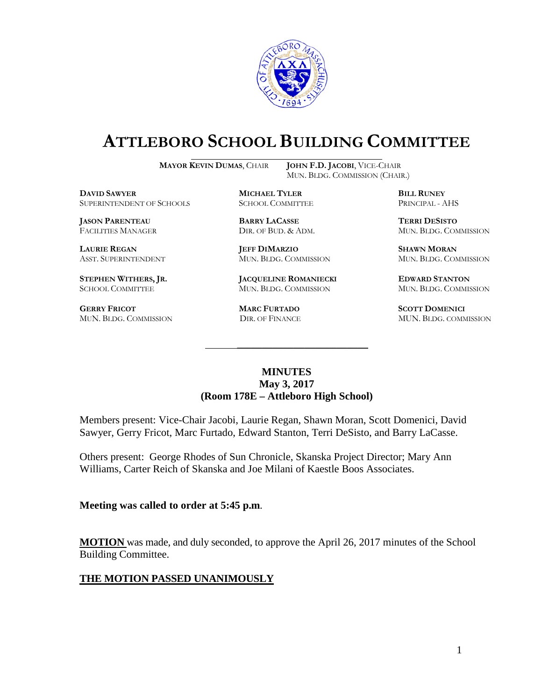

# **ATTLEBORO SCHOOL BUILDING COMMITTEE**

**MAYOR KEVIN DUMAS**, CHAIR **JOHN F.D. JACOBI**, VICE-CHAIR

MUN. BLDG. COMMISSION (CHAIR.)

**DAVID SAWYER MICHAEL TYLER BILL RUNEY** SUPERINTENDENT OF SCHOOLS

**JASON PARENTEAU BARRY LACASSE TERRI DESISTO**

**GERRY FRICOT MARC FURTADO SCOTT DOMENICI** 

**LAURIE REGAN JEFF DIMARZIO SHAWN MORAN**

**STEPHEN WITHERS, JR. JACQUELINE ROMANIECKI EDWARD STANTON** SCHOOL COMMITTEE MUN. BLDG. COMMISSION MUN. BLDG. COMMISSION

FACILITIES MANAGER DIR. OF BUD. & ADM. MUN. BLDG. COMMISSION

ASST. SUPERINTENDENT MUN. BLDG. COMMISSION MUN. BLDG. COMMISSION

MUN. BLDG. COMMISSION DIR. OF FINANCE MUN. BLDG. COMMISSION

#### **MINUTES May 3, 2017 (Room 178E – Attleboro High School)**

\_\_\_\_\_\_\_\_\_\_\_\_\_\_\_\_\_\_\_\_\_\_\_\_\_\_\_\_\_\_\_\_\_\_\_\_\_

Members present: Vice-Chair Jacobi, Laurie Regan, Shawn Moran, Scott Domenici, David Sawyer, Gerry Fricot, Marc Furtado, Edward Stanton, Terri DeSisto, and Barry LaCasse.

Others present: George Rhodes of Sun Chronicle, Skanska Project Director; Mary Ann Williams, Carter Reich of Skanska and Joe Milani of Kaestle Boos Associates.

**Meeting was called to order at 5:45 p.m**.

**MOTION** was made, and duly seconded, to approve the April 26, 2017 minutes of the School Building Committee.

## **THE MOTION PASSED UNANIMOUSLY**